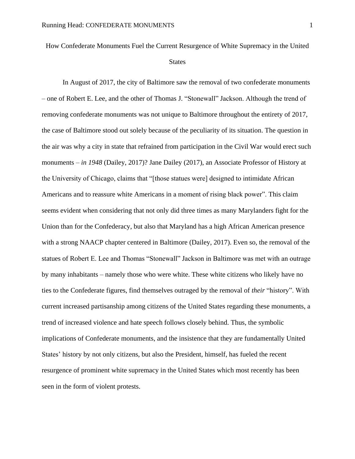How Confederate Monuments Fuel the Current Resurgence of White Supremacy in the United

## States

In August of 2017, the city of Baltimore saw the removal of two confederate monuments – one of Robert E. Lee, and the other of Thomas J. "Stonewall" Jackson. Although the trend of removing confederate monuments was not unique to Baltimore throughout the entirety of 2017, the case of Baltimore stood out solely because of the peculiarity of its situation. The question in the air was why a city in state that refrained from participation in the Civil War would erect such monuments – *in 1948* (Dailey, 2017)? Jane Dailey (2017), an Associate Professor of History at the University of Chicago, claims that "[those statues were] designed to intimidate African Americans and to reassure white Americans in a moment of rising black power". This claim seems evident when considering that not only did three times as many Marylanders fight for the Union than for the Confederacy, but also that Maryland has a high African American presence with a strong NAACP chapter centered in Baltimore (Dailey, 2017). Even so, the removal of the statues of Robert E. Lee and Thomas "Stonewall" Jackson in Baltimore was met with an outrage by many inhabitants – namely those who were white. These white citizens who likely have no ties to the Confederate figures, find themselves outraged by the removal of *their* "history". With current increased partisanship among citizens of the United States regarding these monuments, a trend of increased violence and hate speech follows closely behind. Thus, the symbolic implications of Confederate monuments, and the insistence that they are fundamentally United States' history by not only citizens, but also the President, himself, has fueled the recent resurgence of prominent white supremacy in the United States which most recently has been seen in the form of violent protests.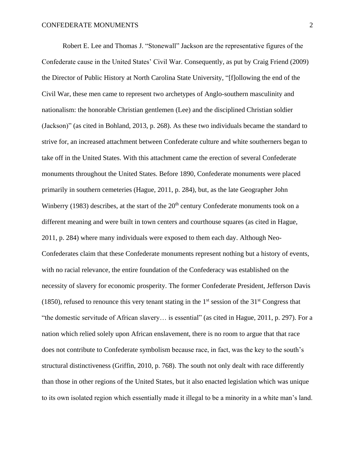Robert E. Lee and Thomas J. "Stonewall" Jackson are the representative figures of the Confederate cause in the United States' Civil War. Consequently, as put by Craig Friend (2009) the Director of Public History at North Carolina State University, "[f]ollowing the end of the Civil War, these men came to represent two archetypes of Anglo-southern masculinity and nationalism: the honorable Christian gentlemen (Lee) and the disciplined Christian soldier (Jackson)" (as cited in Bohland, 2013, p. 268). As these two individuals became the standard to strive for, an increased attachment between Confederate culture and white southerners began to take off in the United States. With this attachment came the erection of several Confederate monuments throughout the United States. Before 1890, Confederate monuments were placed primarily in southern cemeteries (Hague, 2011, p. 284), but, as the late Geographer John Winberry (1983) describes, at the start of the  $20<sup>th</sup>$  century Confederate monuments took on a different meaning and were built in town centers and courthouse squares (as cited in Hague, 2011, p. 284) where many individuals were exposed to them each day. Although Neo-Confederates claim that these Confederate monuments represent nothing but a history of events, with no racial relevance, the entire foundation of the Confederacy was established on the necessity of slavery for economic prosperity. The former Confederate President, Jefferson Davis (1850), refused to renounce this very tenant stating in the  $1<sup>st</sup>$  session of the  $31<sup>st</sup>$  Congress that "the domestic servitude of African slavery… is essential" (as cited in Hague, 2011, p. 297). For a nation which relied solely upon African enslavement, there is no room to argue that that race does not contribute to Confederate symbolism because race, in fact, was the key to the south's structural distinctiveness (Griffin, 2010, p. 768). The south not only dealt with race differently than those in other regions of the United States, but it also enacted legislation which was unique to its own isolated region which essentially made it illegal to be a minority in a white man's land.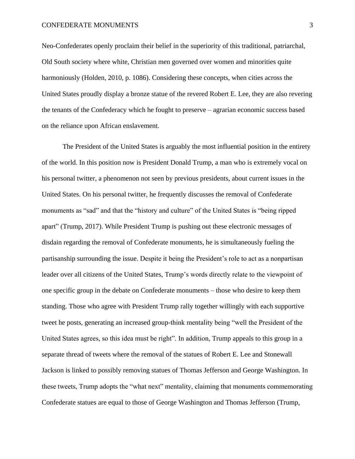Neo-Confederates openly proclaim their belief in the superiority of this traditional, patriarchal, Old South society where white, Christian men governed over women and minorities quite harmoniously (Holden, 2010, p. 1086). Considering these concepts, when cities across the United States proudly display a bronze statue of the revered Robert E. Lee, they are also revering the tenants of the Confederacy which he fought to preserve – agrarian economic success based on the reliance upon African enslavement.

The President of the United States is arguably the most influential position in the entirety of the world. In this position now is President Donald Trump, a man who is extremely vocal on his personal twitter, a phenomenon not seen by previous presidents, about current issues in the United States. On his personal twitter, he frequently discusses the removal of Confederate monuments as "sad" and that the "history and culture" of the United States is "being ripped apart" (Trump, 2017). While President Trump is pushing out these electronic messages of disdain regarding the removal of Confederate monuments, he is simultaneously fueling the partisanship surrounding the issue. Despite it being the President's role to act as a nonpartisan leader over all citizens of the United States, Trump's words directly relate to the viewpoint of one specific group in the debate on Confederate monuments – those who desire to keep them standing. Those who agree with President Trump rally together willingly with each supportive tweet he posts, generating an increased group-think mentality being "well the President of the United States agrees, so this idea must be right". In addition, Trump appeals to this group in a separate thread of tweets where the removal of the statues of Robert E. Lee and Stonewall Jackson is linked to possibly removing statues of Thomas Jefferson and George Washington. In these tweets, Trump adopts the "what next" mentality, claiming that monuments commemorating Confederate statues are equal to those of George Washington and Thomas Jefferson (Trump,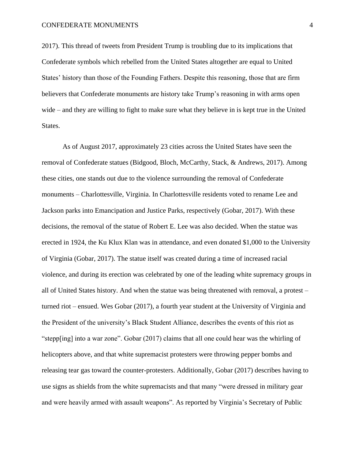2017). This thread of tweets from President Trump is troubling due to its implications that Confederate symbols which rebelled from the United States altogether are equal to United States' history than those of the Founding Fathers. Despite this reasoning, those that are firm believers that Confederate monuments are history take Trump's reasoning in with arms open wide – and they are willing to fight to make sure what they believe in is kept true in the United States.

As of August 2017, approximately 23 cities across the United States have seen the removal of Confederate statues (Bidgood, Bloch, McCarthy, Stack, & Andrews, 2017). Among these cities, one stands out due to the violence surrounding the removal of Confederate monuments – Charlottesville, Virginia. In Charlottesville residents voted to rename Lee and Jackson parks into Emancipation and Justice Parks, respectively (Gobar, 2017). With these decisions, the removal of the statue of Robert E. Lee was also decided. When the statue was erected in 1924, the Ku Klux Klan was in attendance, and even donated \$1,000 to the University of Virginia (Gobar, 2017). The statue itself was created during a time of increased racial violence, and during its erection was celebrated by one of the leading white supremacy groups in all of United States history. And when the statue was being threatened with removal, a protest – turned riot – ensued. Wes Gobar (2017), a fourth year student at the University of Virginia and the President of the university's Black Student Alliance, describes the events of this riot as "stepp[ing] into a war zone". Gobar (2017) claims that all one could hear was the whirling of helicopters above, and that white supremacist protesters were throwing pepper bombs and releasing tear gas toward the counter-protesters. Additionally, Gobar (2017) describes having to use signs as shields from the white supremacists and that many "were dressed in military gear and were heavily armed with assault weapons". As reported by Virginia's Secretary of Public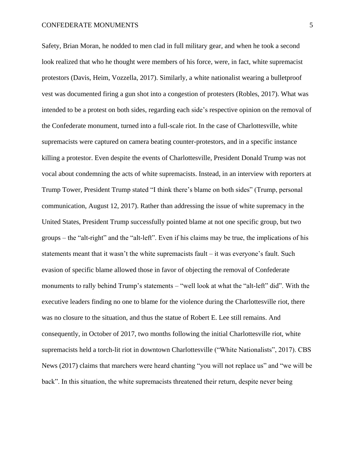## CONFEDERATE MONUMENTS 5

Safety, Brian Moran, he nodded to men clad in full military gear, and when he took a second look realized that who he thought were members of his force, were, in fact, white supremacist protestors (Davis, Heim, Vozzella, 2017). Similarly, a white nationalist wearing a bulletproof vest was documented firing a gun shot into a congestion of protesters (Robles, 2017). What was intended to be a protest on both sides, regarding each side's respective opinion on the removal of the Confederate monument, turned into a full-scale riot. In the case of Charlottesville, white supremacists were captured on camera beating counter-protestors, and in a specific instance killing a protestor. Even despite the events of Charlottesville, President Donald Trump was not vocal about condemning the acts of white supremacists. Instead, in an interview with reporters at Trump Tower, President Trump stated "I think there's blame on both sides" (Trump, personal communication, August 12, 2017). Rather than addressing the issue of white supremacy in the United States, President Trump successfully pointed blame at not one specific group, but two groups – the "alt-right" and the "alt-left". Even if his claims may be true, the implications of his statements meant that it wasn't the white supremacists fault – it was everyone's fault. Such evasion of specific blame allowed those in favor of objecting the removal of Confederate monuments to rally behind Trump's statements – "well look at what the "alt-left" did". With the executive leaders finding no one to blame for the violence during the Charlottesville riot, there was no closure to the situation, and thus the statue of Robert E. Lee still remains. And consequently, in October of 2017, two months following the initial Charlottesville riot, white supremacists held a torch-lit riot in downtown Charlottesville ("White Nationalists", 2017). CBS News (2017) claims that marchers were heard chanting "you will not replace us" and "we will be back". In this situation, the white supremacists threatened their return, despite never being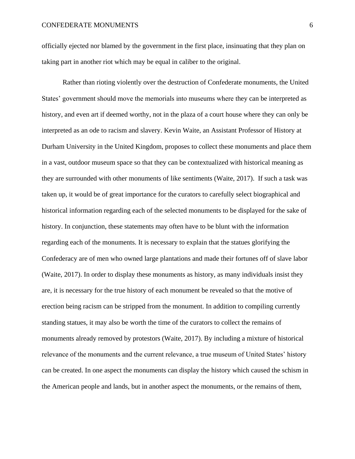officially ejected nor blamed by the government in the first place, insinuating that they plan on taking part in another riot which may be equal in caliber to the original.

Rather than rioting violently over the destruction of Confederate monuments, the United States' government should move the memorials into museums where they can be interpreted as history, and even art if deemed worthy, not in the plaza of a court house where they can only be interpreted as an ode to racism and slavery. Kevin Waite, an Assistant Professor of History at Durham University in the United Kingdom, proposes to collect these monuments and place them in a vast, outdoor museum space so that they can be contextualized with historical meaning as they are surrounded with other monuments of like sentiments (Waite, 2017). If such a task was taken up, it would be of great importance for the curators to carefully select biographical and historical information regarding each of the selected monuments to be displayed for the sake of history. In conjunction, these statements may often have to be blunt with the information regarding each of the monuments. It is necessary to explain that the statues glorifying the Confederacy are of men who owned large plantations and made their fortunes off of slave labor (Waite, 2017). In order to display these monuments as history, as many individuals insist they are, it is necessary for the true history of each monument be revealed so that the motive of erection being racism can be stripped from the monument. In addition to compiling currently standing statues, it may also be worth the time of the curators to collect the remains of monuments already removed by protestors (Waite, 2017). By including a mixture of historical relevance of the monuments and the current relevance, a true museum of United States' history can be created. In one aspect the monuments can display the history which caused the schism in the American people and lands, but in another aspect the monuments, or the remains of them,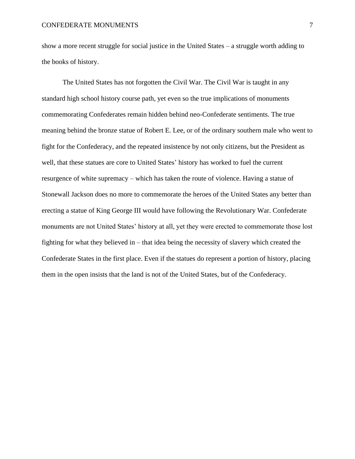show a more recent struggle for social justice in the United States – a struggle worth adding to the books of history.

The United States has not forgotten the Civil War. The Civil War is taught in any standard high school history course path, yet even so the true implications of monuments commemorating Confederates remain hidden behind neo-Confederate sentiments. The true meaning behind the bronze statue of Robert E. Lee, or of the ordinary southern male who went to fight for the Confederacy, and the repeated insistence by not only citizens, but the President as well, that these statues are core to United States' history has worked to fuel the current resurgence of white supremacy – which has taken the route of violence. Having a statue of Stonewall Jackson does no more to commemorate the heroes of the United States any better than erecting a statue of King George III would have following the Revolutionary War. Confederate monuments are not United States' history at all, yet they were erected to commemorate those lost fighting for what they believed in – that idea being the necessity of slavery which created the Confederate States in the first place. Even if the statues do represent a portion of history, placing them in the open insists that the land is not of the United States, but of the Confederacy.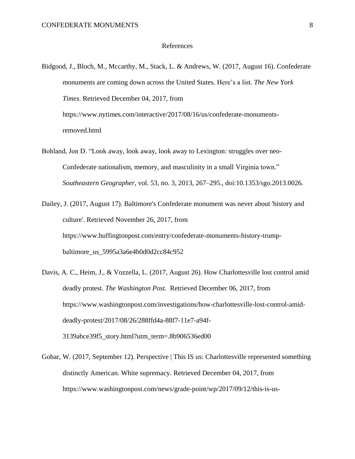## References

- Bidgood, J., Bloch, M., Mccarthy, M., Stack, L. & Andrews, W. (2017, August 16). Confederate monuments are coming down across the United States. Here's a list. *The New York Times*. Retrieved December 04, 2017, from https://www.nytimes.com/interactive/2017/08/16/us/confederate-monumentsremoved.html
- Bohland, Jon D. "Look away, look away, look away to Lexington: struggles over neo-Confederate nationalism, memory, and masculinity in a small Virginia town." *Southeastern Geographer*, vol. 53, no. 3, 2013, 267–295., doi:10.1353/sgo.2013.0026.
- Dailey, J. (2017, August 17). Baltimore's Confederate monument was never about 'history and culture'. Retrieved November 26, 2017, from https://www.huffingtonpost.com/entry/confederate-monuments-history-trumpbaltimore\_us\_5995a3a6e4b0d0d2cc84c952
- Davis, A. C., Heim, J., & Vozzella, L. (2017, August 26). How Charlottesville lost control amid deadly protest. *The Washington Post.* Retrieved December 06, 2017, from https://www.washingtonpost.com/investigations/how-charlottesville-lost-control-amiddeadly-protest/2017/08/26/288ffd4a-88f7-11e7-a94f-3139abce39f5\_story.html?utm\_term=.8b906536ed00
- Gobar, W. (2017, September 12). Perspective | This IS us: Charlottesville represented something distinctly American. White supremacy. Retrieved December 04, 2017, from https://www.washingtonpost.com/news/grade-point/wp/2017/09/12/this-is-us-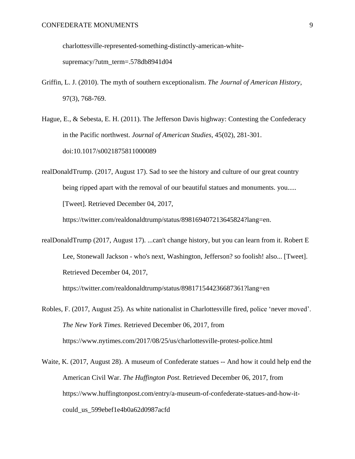charlottesville-represented-something-distinctly-american-white-

supremacy/?utm\_term=.578db8941d04

- Griffin, L. J. (2010). The myth of southern exceptionalism. *The Journal of American History*, 97(3), 768-769.
- Hague, E., & Sebesta, E. H. (2011). The Jefferson Davis highway: Contesting the Confederacy in the Pacific northwest. *Journal of American Studies*, 45(02), 281-301. doi:10.1017/s0021875811000089
- realDonaldTrump. (2017, August 17). Sad to see the history and culture of our great country being ripped apart with the removal of our beautiful statues and monuments. you..... [Tweet]. Retrieved December 04, 2017,

https://twitter.com/realdonaldtrump/status/898169407213645824?lang=en.

realDonaldTrump (2017, August 17). ...can't change history, but you can learn from it. Robert E Lee, Stonewall Jackson - who's next, Washington, Jefferson? so foolish! also... [Tweet]. Retrieved December 04, 2017,

https://twitter.com/realdonaldtrump/status/898171544236687361?lang=en

- Robles, F. (2017, August 25). As white nationalist in Charlottesville fired, police 'never moved'. *The New York Times.* Retrieved December 06, 2017, from https://www.nytimes.com/2017/08/25/us/charlottesville-protest-police.html
- Waite, K. (2017, August 28). A museum of Confederate statues -- And how it could help end the American Civil War. *The Huffington Post.* Retrieved December 06, 2017, from https://www.huffingtonpost.com/entry/a-museum-of-confederate-statues-and-how-itcould\_us\_599ebef1e4b0a62d0987acfd